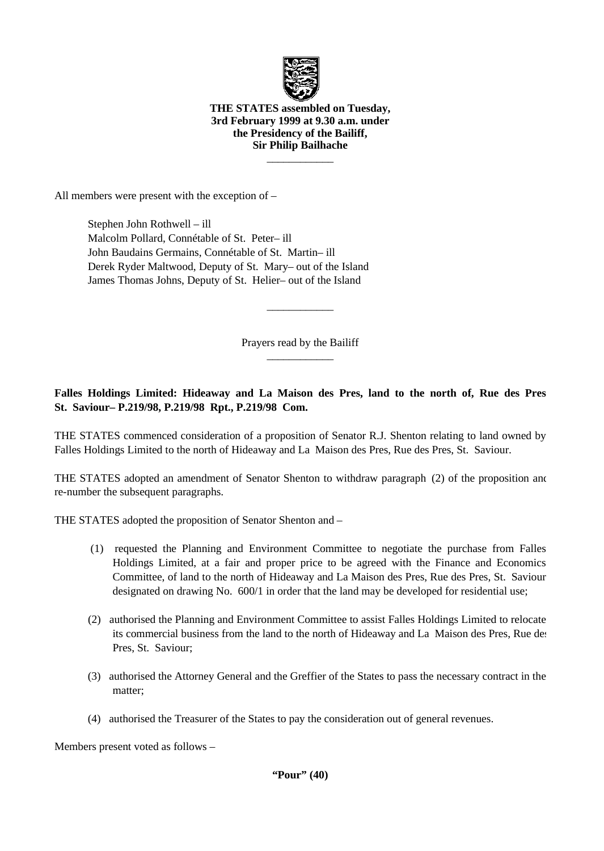

#### **THE STATES assembled on Tuesday, 3rd February 1999 at 9.30 a.m. under the Presidency of the Bailiff, Sir Philip Bailhache**

 $\overline{\phantom{a}}$ 

All members were present with the exception of –

 Stephen John Rothwell – ill Malcolm Pollard, Connétable of St. Peter-ill John Baudains Germains, Connétable of St. Martin- ill Derek Ryder Maltwood, Deputy of St. Mary– out of the Island James Thomas Johns, Deputy of St. Helier- out of the Island

> Prayers read by the Bailiff  $\overline{\phantom{a}}$  , where  $\overline{\phantom{a}}$

 $\overline{\phantom{a}}$  , where  $\overline{\phantom{a}}$ 

**Falles Holdings Limited: Hideaway and La Maison des Pres, land to the north of, Rue des Pres, St. Saviour – P.219/98, P.219/98 Rpt., P.219/98 Com.**

THE STATES commenced consideration of a proposition of Senator R.J. Shenton relating to land owned by Falles Holdings Limited to the north of Hideaway and La Maison des Pres, Rue des Pres, St. Saviour.

THE STATES adopted an amendment of Senator Shenton to withdraw paragraph (2) of the proposition and re-number the subsequent paragraphs.

THE STATES adopted the proposition of Senator Shenton and –

- (1) requested the Planning and Environment Committee to negotiate the purchase from Falles Holdings Limited, at a fair and proper price to be agreed with the Finance and Economics Committee, of land to the north of Hideaway and La Maison des Pres, Rue des Pres, St. Saviour, designated on drawing No. 600/1 in order that the land may be developed for residential use;
- (2) authorised the Planning and Environment Committee to assist Falles Holdings Limited to relocate its commercial business from the land to the north of Hideaway and La Maison des Pres, Rue des Pres, St. Saviour;
- (3) authorised the Attorney General and the Greffier of the States to pass the necessary contract in the matter;
- (4) authorised the Treasurer of the States to pay the consideration out of general revenues.

Members present voted as follows –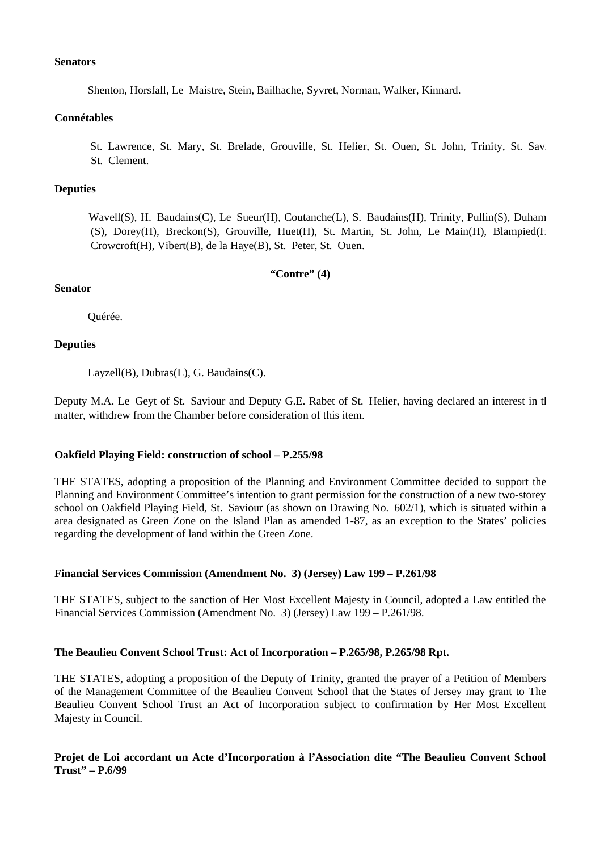#### **Senators**

Shenton, Horsfall, Le Maistre, Stein, Bailhache, Syvret, Norman, Walker, Kinnard.

### **Connétables**

St. Lawrence, St. Mary, St. Brelade, Grouville, St. Helier, St. Ouen, St. John, Trinity, St. Savi St. Clement.

# **Deputies**

Wavell(S), H. Baudains(C), Le Sueur(H), Coutanche(L), S. Baudains(H), Trinity, Pullin(S), Duham (S), Dorey(H), Breckon(S), Grouville, Huet(H), St. Martin, St. John, Le Main(H), Blampied(H), Crowcroft(H), Vibert(B), de la Haye(B), St. Peter, St. Ouen.

# **"Contre" (4)**

# **Senator**

Quérée.

# **Deputies**

Layzell(B), Dubras(L), G. Baudains(C).

Deputy M.A. Le Geyt of St. Saviour and Deputy G.E. Rabet of St. Helier, having declared an interest in the matter, withdrew from the Chamber before consideration of this item.

# **Oakfield Playing Field: construction of school - P.255/98**

THE STATES, adopting a proposition of the Planning and Environment Committee decided to support the Planning and Environment Committee's intention to grant permission for the construction of a new two-storey school on Oakfield Playing Field, St. Saviour (as shown on Drawing No.  $602/1$ ), which is situated within a area designated as Green Zone on the Island Plan as amended 1-87, as an exception to the States' policies regarding the development of land within the Green Zone.

# **Financial Services Commission (Amendment No. 3) (Jersey) Law 199 – P.261/98**

THE STATES, subject to the sanction of Her Most Excellent Majesty in Council, adopted a Law entitled the Financial Services Commission (Amendment No. 3) (Jersey) Law 199 – P.261/98.

# **The Beaulieu Convent School Trust: Act of Incorporation – P.265/98, P.265/98 Rpt.**

THE STATES, adopting a proposition of the Deputy of Trinity, granted the prayer of a Petition of Members of the Management Committee of the Beaulieu Convent School that the States of Jersey may grant to The Beaulieu Convent School Trust an Act of Incorporation subject to confirmation by Her Most Excellent Majesty in Council.

# **Projet de Loi accordant un Acte d'Incorporation à l'Association dite "The Beaulieu Convent School Trust" – P.6/99**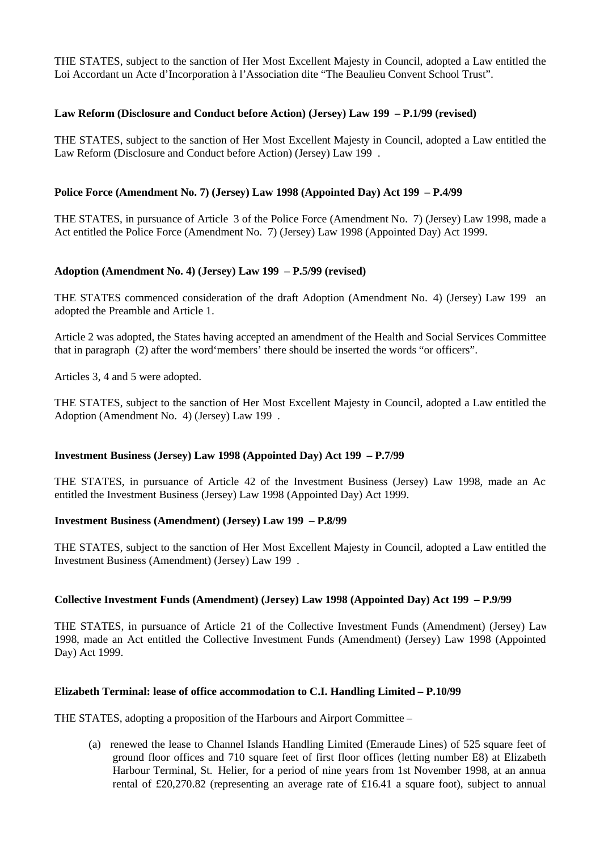THE STATES, subject to the sanction of Her Most Excellent Majesty in Council, adopted a Law entitled the Loi Accordant un Acte d'Incorporation à l'Association dite "The Beaulieu Convent School Trust".

### **Law Reform (Disclosure and Conduct before Action) (Jersey) Law 199 – P.1/99 (revised)**

THE STATES, subject to the sanction of Her Most Excellent Majesty in Council, adopted a Law entitled the Law Reform (Disclosure and Conduct before Action) (Jersey) Law 199 .

# **Police Force (Amendment No. 7) (Jersey) Law 1998 (Appointed Day) Act 199 – P.4/99**

THE STATES, in pursuance of Article 3 of the Police Force (Amendment No. 7) (Jersey) Law 1998, made an Act entitled the Police Force (Amendment No. 7) (Jersey) Law 1998 (Appointed Day) Act 1999.

# **Adoption (Amendment No. 4) (Jersey) Law 199 – P.5/99 (revised)**

THE STATES commenced consideration of the draft Adoption (Amendment No. 4) (Jersey) Law 199 and adopted the Preamble and Article 1.

Article 2 was adopted, the States having accepted an amendment of the Health and Social Services Committee that in paragraph (2) after the word'members' there should be inserted the words "or officers".

Articles 3, 4 and 5 were adopted.

THE STATES, subject to the sanction of Her Most Excellent Majesty in Council, adopted a Law entitled the Adoption (Amendment No. 4) (Jersey) Law 199 .

#### **Investment Business (Jersey) Law 1998 (Appointed Day) Act 199 – P.7/99**

THE STATES, in pursuance of Article 42 of the Investment Business (Jersey) Law 1998, made an Act entitled the Investment Business (Jersey) Law 1998 (Appointed Day) Act 1999.

#### **Investment Business (Amendment) (Jersey) Law 199 – P.8/99**

THE STATES, subject to the sanction of Her Most Excellent Majesty in Council, adopted a Law entitled the Investment Business (Amendment) (Jersey) Law 199 .

#### **Collective Investment Funds (Amendment) (Jersey) Law 1998 (Appointed Day) Act 199 – P.9/99**

THE STATES, in pursuance of Article 21 of the Collective Investment Funds (Amendment) (Jersey) Law 1998, made an Act entitled the Collective Investment Funds (Amendment) (Jersey) Law 1998 (Appointed Day) Act 1999.

#### **Elizabeth Terminal: lease of office accommodation to C.I. Handling Limited – P.10/99**

THE STATES, adopting a proposition of the Harbours and Airport Committee –

 (a) renewed the lease to Channel Islands Handling Limited (Emeraude Lines) of 525 square feet of ground floor offices and 710 square feet of first floor offices (letting number E8) at Elizabeth Harbour Terminal, St. Helier, for a period of nine years from 1st November 1998, at an annua rental of £20,270.82 (representing an average rate of £16.41 a square foot), subject to annual